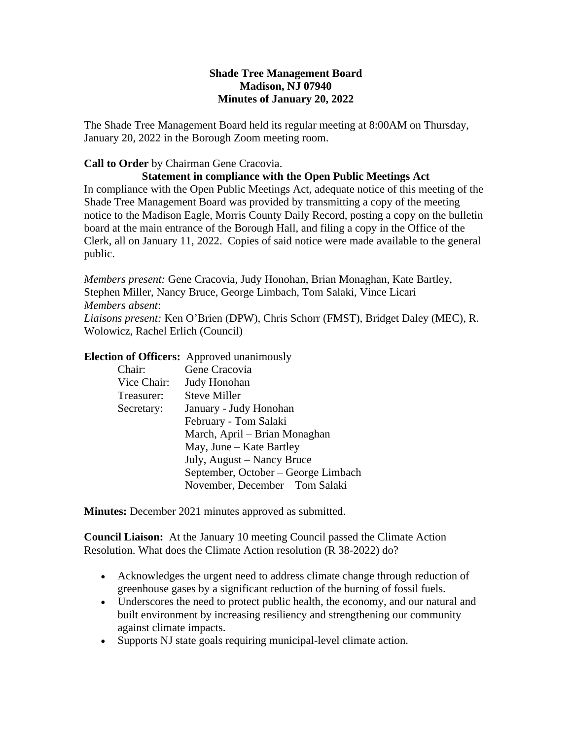## **Shade Tree Management Board Madison, NJ 07940 Minutes of January 20, 2022**

The Shade Tree Management Board held its regular meeting at 8:00AM on Thursday, January 20, 2022 in the Borough Zoom meeting room.

## **Call to Order** by Chairman Gene Cracovia.

### **Statement in compliance with the Open Public Meetings Act**

In compliance with the Open Public Meetings Act, adequate notice of this meeting of the Shade Tree Management Board was provided by transmitting a copy of the meeting notice to the Madison Eagle, Morris County Daily Record, posting a copy on the bulletin board at the main entrance of the Borough Hall, and filing a copy in the Office of the Clerk, all on January 11, 2022. Copies of said notice were made available to the general public.

*Members present:* Gene Cracovia, Judy Honohan, Brian Monaghan, Kate Bartley, Stephen Miller, Nancy Bruce, George Limbach, Tom Salaki, Vince Licari *Members absent*: *Liaisons present:* Ken O'Brien (DPW), Chris Schorr (FMST), Bridget Daley (MEC), R. Wolowicz, Rachel Erlich (Council)

## **Election of Officers:** Approved unanimously

| Chair:                | Gene Cracovia                       |  |
|-----------------------|-------------------------------------|--|
| Vice Chair:           | Judy Honohan                        |  |
| Treasurer:            | <b>Steve Miller</b>                 |  |
| Secretary:            | January - Judy Honohan              |  |
| February - Tom Salaki |                                     |  |
|                       | March, April – Brian Monaghan       |  |
|                       | May, June $-$ Kate Bartley          |  |
|                       | July, August – Nancy Bruce          |  |
|                       | September, October – George Limbach |  |
|                       | November, December – Tom Salaki     |  |

**Minutes:** December 2021 minutes approved as submitted.

**Council Liaison:** At the January 10 meeting Council passed the Climate Action Resolution. What does the Climate Action resolution (R 38-2022) do?

- Acknowledges the urgent need to address climate change through reduction of greenhouse gases by a significant reduction of the burning of fossil fuels.
- Underscores the need to protect public health, the economy, and our natural and built environment by increasing resiliency and strengthening our community against climate impacts.
- Supports NJ state goals requiring municipal-level climate action.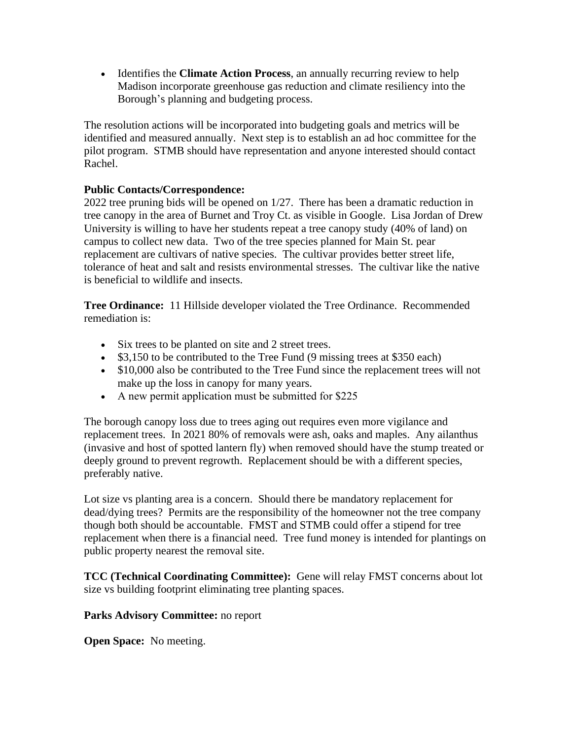Identifies the **Climate Action Process**, an annually recurring review to help Madison incorporate greenhouse gas reduction and climate resiliency into the Borough's planning and budgeting process.

The resolution actions will be incorporated into budgeting goals and metrics will be identified and measured annually. Next step is to establish an ad hoc committee for the pilot program. STMB should have representation and anyone interested should contact Rachel.

# **Public Contacts/Correspondence:**

2022 tree pruning bids will be opened on 1/27. There has been a dramatic reduction in tree canopy in the area of Burnet and Troy Ct. as visible in Google. Lisa Jordan of Drew University is willing to have her students repeat a tree canopy study (40% of land) on campus to collect new data. Two of the tree species planned for Main St. pear replacement are cultivars of native species. The cultivar provides better street life, tolerance of heat and salt and resists environmental stresses. The cultivar like the native is beneficial to wildlife and insects.

**Tree Ordinance:** 11 Hillside developer violated the Tree Ordinance. Recommended remediation is:

- Six trees to be planted on site and 2 street trees.
- $\bullet$  \$3,150 to be contributed to the Tree Fund (9 missing trees at \$350 each)
- \$10,000 also be contributed to the Tree Fund since the replacement trees will not make up the loss in canopy for many years.
- A new permit application must be submitted for \$225

The borough canopy loss due to trees aging out requires even more vigilance and replacement trees. In 2021 80% of removals were ash, oaks and maples. Any ailanthus (invasive and host of spotted lantern fly) when removed should have the stump treated or deeply ground to prevent regrowth. Replacement should be with a different species, preferably native.

Lot size vs planting area is a concern. Should there be mandatory replacement for dead/dying trees? Permits are the responsibility of the homeowner not the tree company though both should be accountable. FMST and STMB could offer a stipend for tree replacement when there is a financial need. Tree fund money is intended for plantings on public property nearest the removal site.

**TCC (Technical Coordinating Committee):** Gene will relay FMST concerns about lot size vs building footprint eliminating tree planting spaces.

## **Parks Advisory Committee:** no report

**Open Space:** No meeting.